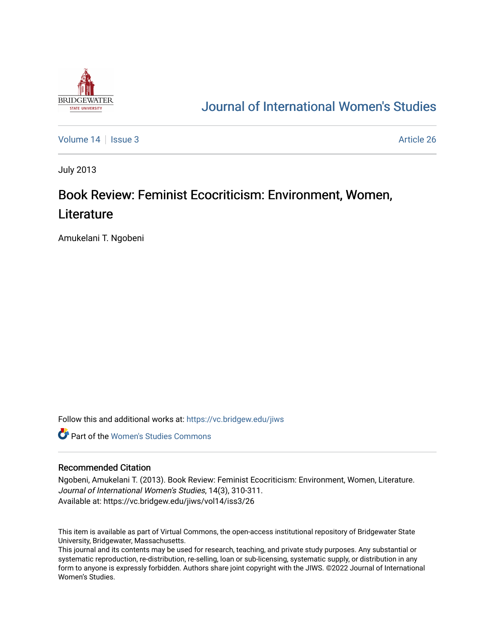

## [Journal of International Women's Studies](https://vc.bridgew.edu/jiws)

[Volume 14](https://vc.bridgew.edu/jiws/vol14) Sexue 3 Article 26

July 2013

# Book Review: Feminist Ecocriticism: Environment, Women, **Literature**

Amukelani T. Ngobeni

Follow this and additional works at: [https://vc.bridgew.edu/jiws](https://vc.bridgew.edu/jiws?utm_source=vc.bridgew.edu%2Fjiws%2Fvol14%2Fiss3%2F26&utm_medium=PDF&utm_campaign=PDFCoverPages)

**C** Part of the Women's Studies Commons

### Recommended Citation

Ngobeni, Amukelani T. (2013). Book Review: Feminist Ecocriticism: Environment, Women, Literature. Journal of International Women's Studies, 14(3), 310-311. Available at: https://vc.bridgew.edu/jiws/vol14/iss3/26

This item is available as part of Virtual Commons, the open-access institutional repository of Bridgewater State University, Bridgewater, Massachusetts.

This journal and its contents may be used for research, teaching, and private study purposes. Any substantial or systematic reproduction, re-distribution, re-selling, loan or sub-licensing, systematic supply, or distribution in any form to anyone is expressly forbidden. Authors share joint copyright with the JIWS. ©2022 Journal of International Women's Studies.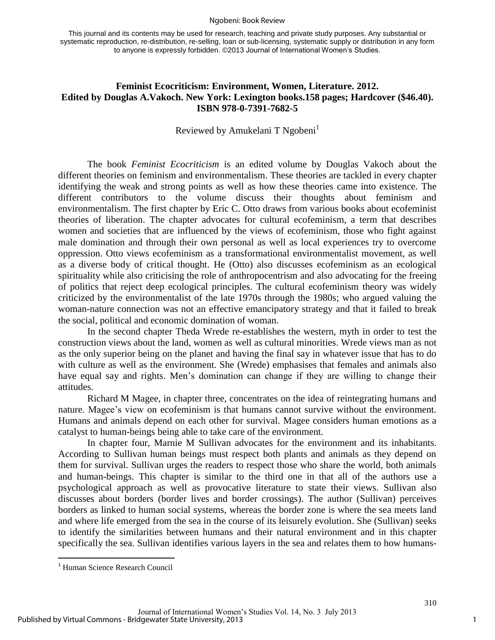#### Ngobeni: Book Review

This journal and its contents may be used for research, teaching and private study purposes. Any substantial or systematic reproduction, re-distribution, re-selling, loan or sub-licensing, systematic supply or distribution in any form to anyone is expressly forbidden. ©2013 Journal of International Women's Studies.

## **Feminist Ecocriticism: Environment, Women, Literature. 2012. Edited by Douglas A.Vakoch. New York: Lexington books.158 pages; Hardcover (\$46.40). ISBN 978-0-7391-7682-5**

## Reviewed by Amukelani T Ngobeni<sup>1</sup>

The book *Feminist Ecocriticism* is an edited volume by Douglas Vakoch about the different theories on feminism and environmentalism. These theories are tackled in every chapter identifying the weak and strong points as well as how these theories came into existence. The different contributors to the volume discuss their thoughts about feminism and environmentalism. The first chapter by Eric C. Otto draws from various books about ecofeminist theories of liberation. The chapter advocates for cultural ecofeminism, a term that describes women and societies that are influenced by the views of ecofeminism, those who fight against male domination and through their own personal as well as local experiences try to overcome oppression. Otto views ecofeminism as a transformational environmentalist movement, as well as a diverse body of critical thought. He (Otto) also discusses ecofeminism as an ecological spirituality while also criticising the role of anthropocentrism and also advocating for the freeing of politics that reject deep ecological principles. The cultural ecofeminism theory was widely criticized by the environmentalist of the late 1970s through the 1980s; who argued valuing the woman-nature connection was not an effective emancipatory strategy and that it failed to break the social, political and economic domination of woman.

In the second chapter Theda Wrede re-establishes the western, myth in order to test the construction views about the land, women as well as cultural minorities. Wrede views man as not as the only superior being on the planet and having the final say in whatever issue that has to do with culture as well as the environment. She (Wrede) emphasises that females and animals also have equal say and rights. Men's domination can change if they are willing to change their attitudes.

Richard M Magee, in chapter three, concentrates on the idea of reintegrating humans and nature. Magee's view on ecofeminism is that humans cannot survive without the environment. Humans and animals depend on each other for survival. Magee considers human emotions as a catalyst to human-beings being able to take care of the environment.

In chapter four, Marnie M Sullivan advocates for the environment and its inhabitants. According to Sullivan human beings must respect both plants and animals as they depend on them for survival. Sullivan urges the readers to respect those who share the world, both animals and human-beings. This chapter is similar to the third one in that all of the authors use a psychological approach as well as provocative literature to state their views. Sullivan also discusses about borders (border lives and border crossings). The author (Sullivan) perceives borders as linked to human social systems, whereas the border zone is where the sea meets land and where life emerged from the sea in the course of its leisurely evolution. She (Sullivan) seeks to identify the similarities between humans and their natural environment and in this chapter specifically the sea. Sullivan identifies various layers in the sea and relates them to how humans-

 $\overline{\phantom{a}}$ 

<sup>1</sup> Human Science Research Council